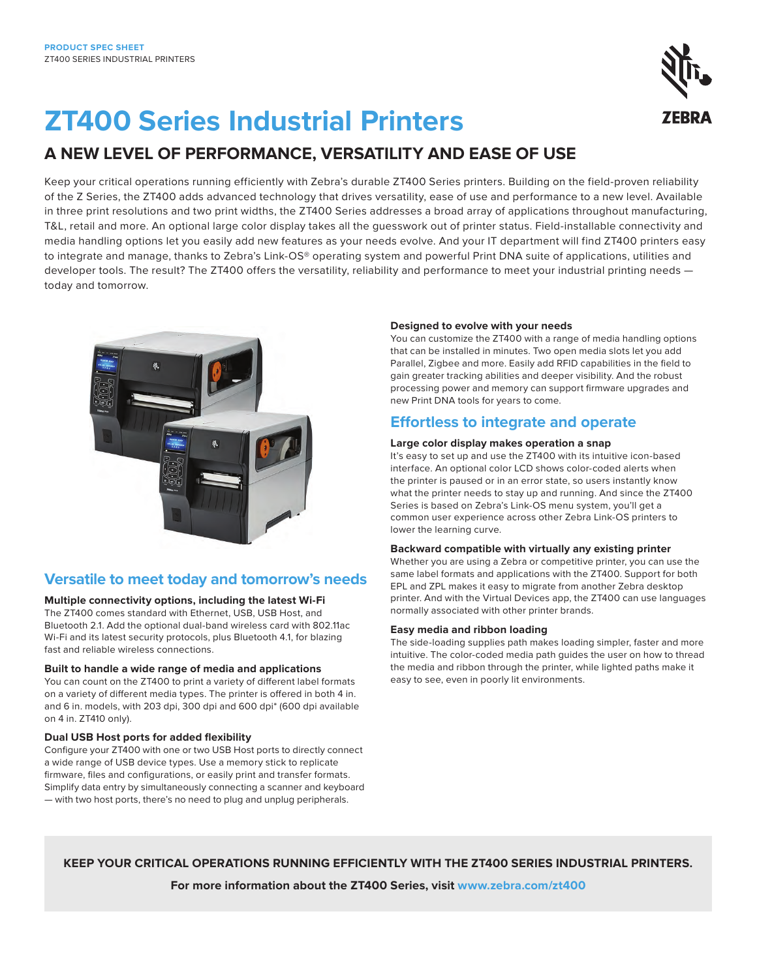

# **ZT400 Series Industrial Printers**

## **A NEW LEVEL OF PERFORMANCE, VERSATILITY AND EASE OF USE**

Keep your critical operations running efficiently with Zebra's durable ZT400 Series printers. Building on the field-proven reliability of the Z Series, the ZT400 adds advanced technology that drives versatility, ease of use and performance to a new level. Available in three print resolutions and two print widths, the ZT400 Series addresses a broad array of applications throughout manufacturing, T&L, retail and more. An optional large color display takes all the guesswork out of printer status. Field-installable connectivity and media handling options let you easily add new features as your needs evolve. And your IT department will find ZT400 printers easy to integrate and manage, thanks to Zebra's Link-OS® operating system and powerful Print DNA suite of applications, utilities and developer tools. The result? The ZT400 offers the versatility, reliability and performance to meet your industrial printing needs today and tomorrow.



## **Versatile to meet today and tomorrow's needs**

**Multiple connectivity options, including the latest Wi-Fi**

The ZT400 comes standard with Ethernet, USB, USB Host, and Bluetooth 2.1. Add the optional dual-band wireless card with 802.11ac Wi-Fi and its latest security protocols, plus Bluetooth 4.1, for blazing fast and reliable wireless connections.

#### **Built to handle a wide range of media and applications**

You can count on the ZT400 to print a variety of different label formats on a variety of different media types. The printer is offered in both 4 in. and 6 in. models, with 203 dpi, 300 dpi and 600 dpi\* (600 dpi available on 4 in. ZT410 only).

#### **Dual USB Host ports for added flexibility**

Configure your ZT400 with one or two USB Host ports to directly connect a wide range of USB device types. Use a memory stick to replicate firmware, files and configurations, or easily print and transfer formats. Simplify data entry by simultaneously connecting a scanner and keyboard — with two host ports, there's no need to plug and unplug peripherals.

#### **Designed to evolve with your needs**

You can customize the ZT400 with a range of media handling options that can be installed in minutes. Two open media slots let you add Parallel, Zigbee and more. Easily add RFID capabilities in the field to gain greater tracking abilities and deeper visibility. And the robust processing power and memory can support firmware upgrades and new Print DNA tools for years to come.

### **Effortless to integrate and operate**

#### **Large color display makes operation a snap**

It's easy to set up and use the ZT400 with its intuitive icon-based interface. An optional color LCD shows color-coded alerts when the printer is paused or in an error state, so users instantly know what the printer needs to stay up and running. And since the ZT400 Series is based on Zebra's Link-OS menu system, you'll get a common user experience across other Zebra Link-OS printers to lower the learning curve.

#### **Backward compatible with virtually any existing printer**

Whether you are using a Zebra or competitive printer, you can use the same label formats and applications with the ZT400. Support for both EPL and ZPL makes it easy to migrate from another Zebra desktop printer. And with the Virtual Devices app, the ZT400 can use languages normally associated with other printer brands.

#### **Easy media and ribbon loading**

The side-loading supplies path makes loading simpler, faster and more intuitive. The color-coded media path guides the user on how to thread the media and ribbon through the printer, while lighted paths make it easy to see, even in poorly lit environments.

#### **KEEP YOUR CRITICAL OPERATIONS RUNNING EFFICIENTLY WITH THE ZT400 SERIES INDUSTRIAL PRINTERS.**

**For more information about the ZT400 Series, visit [www.zebra.com/z](http://www.zebra.com/zt400)t400**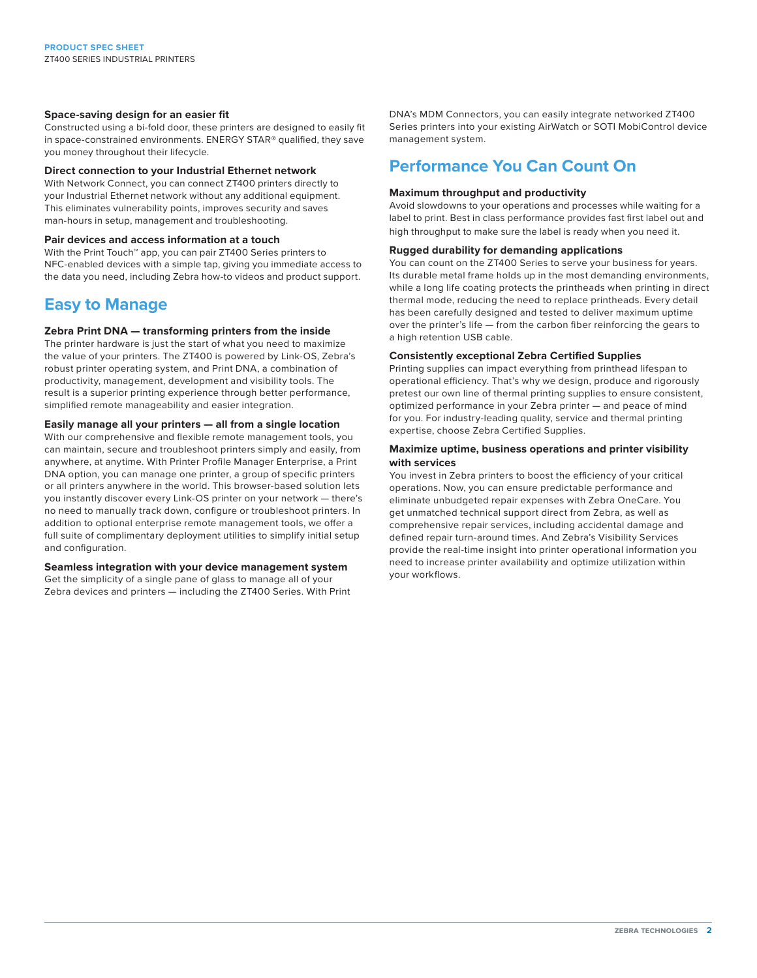#### **Space-saving design for an easier fit**

Constructed using a bi-fold door, these printers are designed to easily fit in space-constrained environments. ENERGY STAR® qualified, they save you money throughout their lifecycle.

#### **Direct connection to your Industrial Ethernet network**

With Network Connect, you can connect ZT400 printers directly to your Industrial Ethernet network without any additional equipment. This eliminates vulnerability points, improves security and saves man-hours in setup, management and troubleshooting.

#### **Pair devices and access information at a touch**

With the Print Touch™ app, you can pair ZT400 Series printers to NFC-enabled devices with a simple tap, giving you immediate access to the data you need, including Zebra how-to videos and product support.

## **Easy to Manage**

#### **Zebra Print DNA — transforming printers from the inside**

The printer hardware is just the start of what you need to maximize the value of your printers. The ZT400 is powered by Link-OS, Zebra's robust printer operating system, and Print DNA, a combination of productivity, management, development and visibility tools. The result is a superior printing experience through better performance, simplified remote manageability and easier integration.

#### **Easily manage all your printers — all from a single location**

With our comprehensive and flexible remote management tools, you can maintain, secure and troubleshoot printers simply and easily, from anywhere, at anytime. With Printer Profile Manager Enterprise, a Print DNA option, you can manage one printer, a group of specific printers or all printers anywhere in the world. This browser-based solution lets you instantly discover every Link-OS printer on your network — there's no need to manually track down, configure or troubleshoot printers. In addition to optional enterprise remote management tools, we offer a full suite of complimentary deployment utilities to simplify initial setup and configuration.

#### **Seamless integration with your device management system**

Get the simplicity of a single pane of glass to manage all of your Zebra devices and printers — including the ZT400 Series. With Print DNA's MDM Connectors, you can easily integrate networked ZT400 Series printers into your existing AirWatch or SOTI MobiControl device management system.

### **Performance You Can Count On**

#### **Maximum throughput and productivity**

Avoid slowdowns to your operations and processes while waiting for a label to print. Best in class performance provides fast first label out and high throughput to make sure the label is ready when you need it.

#### **Rugged durability for demanding applications**

You can count on the ZT400 Series to serve your business for years. Its durable metal frame holds up in the most demanding environments, while a long life coating protects the printheads when printing in direct thermal mode, reducing the need to replace printheads. Every detail has been carefully designed and tested to deliver maximum uptime over the printer's life — from the carbon fiber reinforcing the gears to a high retention USB cable.

#### **Consistently exceptional Zebra Certified Supplies**

Printing supplies can impact everything from printhead lifespan to operational efficiency. That's why we design, produce and rigorously pretest our own line of thermal printing supplies to ensure consistent, optimized performance in your Zebra printer — and peace of mind for you. For industry-leading quality, service and thermal printing expertise, choose Zebra Certified Supplies.

#### **Maximize uptime, business operations and printer visibility with services**

You invest in Zebra printers to boost the efficiency of your critical operations. Now, you can ensure predictable performance and eliminate unbudgeted repair expenses with Zebra OneCare. You get unmatched technical support direct from Zebra, as well as comprehensive repair services, including accidental damage and defined repair turn-around times. And Zebra's Visibility Services provide the real-time insight into printer operational information you need to increase printer availability and optimize utilization within your workflows.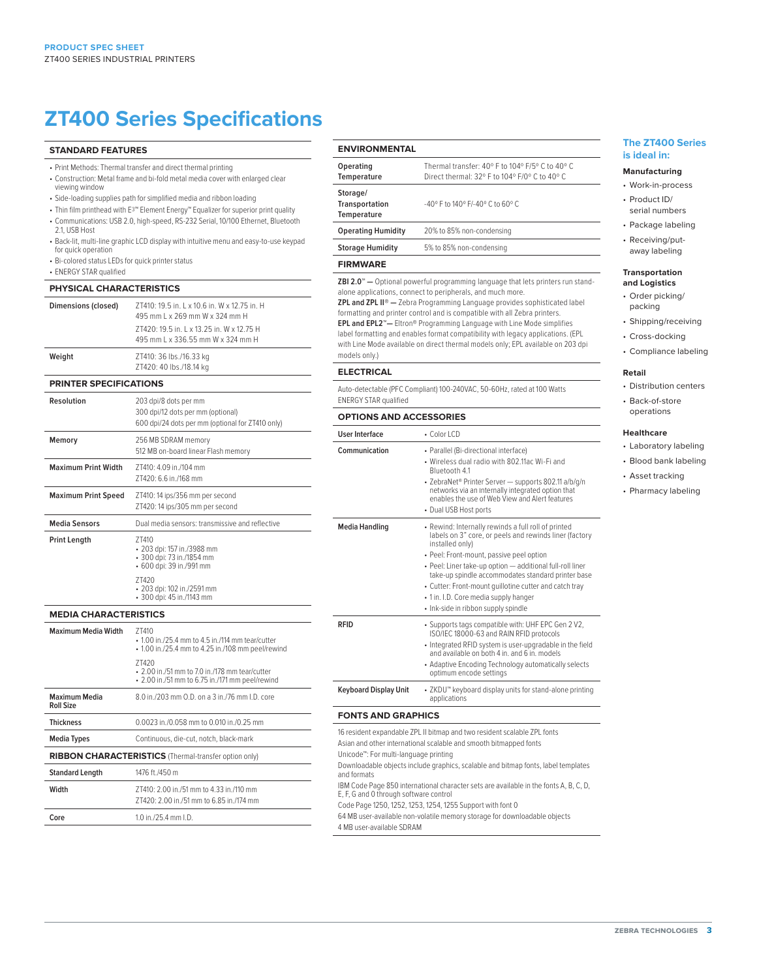## **ZT400 Series Specifications**

#### **STANDARD FEATURES**

- Print Methods: Thermal transfer and direct thermal printing
- Construction: Metal frame and bi-fold metal media cover with enlarged clear viewing window
- Side-loading supplies path for simplified media and ribbon loading
- Thin film printhead with E3™ Element Energy™ Equalizer for superior print quality • Communications: USB 2.0, high-speed, RS-232 Serial, 10/100 Ethernet, Bluetooth
- 21, USB Host • Back-lit, multi-line graphic LCD display with intuitive menu and easy-to-use keypad
- for quick operation
- Bi-colored status LEDs for quick printer status
- ENERGY STAR qualified

#### **PHYSICAL CHARACTERISTICS**

| Dimensions (closed)           | 7T410: 19.5 in. 1 x 10.6 in. W x 12.75 in. H<br>495 mm L x 269 mm W x 324 mm H<br>7T420: 19.5 in. 1 x 13.25 in. W x 12.75 H<br>495 mm L x 336.55 mm W x 324 mm H |
|-------------------------------|------------------------------------------------------------------------------------------------------------------------------------------------------------------|
| Weight                        | ZT410: 36 lbs./16.33 kg<br>ZT420: 40 lbs./18.14 kg                                                                                                               |
| <b>PRINTER SPECIFICATIONS</b> |                                                                                                                                                                  |
| Resolution                    | 203 dpi/8 dots per mm<br>300 dpi/12 dots per mm (optional)<br>600 dpi/24 dots per mm (optional for ZT410 only)                                                   |
| Memory                        | 256 MB SDRAM memory<br>512 MB on-board linear Flash memory                                                                                                       |
| <b>Maximum Print Width</b>    | 7T410: 4.09 in /104 mm<br>7T420: 6.6 in /168 mm                                                                                                                  |
| <b>Maximum Print Speed</b>    | ZT410: 14 ips/356 mm per second<br>ZT420: 14 ips/305 mm per second                                                                                               |
| <b>Media Sensors</b>          | Dual media sensors: transmissive and reflective                                                                                                                  |
| <b>Print Length</b>           | 7T410<br>• 203 dpi: 157 in./3988 mm<br>• 300 dpi: 73 in./1854 mm<br>• 600 dpi: 39 in./991 mm<br>7T420                                                            |
|                               | • 203 dpi: 102 in./2591 mm<br>+ 300 dpi: 45 in./1143 mm                                                                                                          |
| <b>MEDIA CHARACTERISTICS</b>  |                                                                                                                                                                  |
| <b>Maximum Media Width</b>    | 7T410<br>$\cdot$ 1.00 in /25.4 mm to 4.5 in /114 mm tear/cutter                                                                                                  |

|                                                              | • 1.00 in./25.4 mm to 4.25 in./108 mm peel/rewind                                                                |
|--------------------------------------------------------------|------------------------------------------------------------------------------------------------------------------|
|                                                              | 7T420<br>$\cdot$ 2.00 in /51 mm to 7.0 in /178 mm tear/cutter<br>• 2.00 in./51 mm to 6.75 in./171 mm peel/rewind |
| Maximum Media<br><b>Roll Size</b>                            | 8.0 in /203 mm O.D. on a 3 in /76 mm LD. core                                                                    |
| <b>Thickness</b>                                             | 0.0023 in /0.058 mm to 0.010 in /0.25 mm                                                                         |
| <b>Media Types</b>                                           | Continuous, die-cut, notch, black-mark                                                                           |
| <b>RIBBON CHARACTERISTICS</b> (Thermal-transfer option only) |                                                                                                                  |
| <b>Standard Length</b>                                       | 1476 ft./450 m                                                                                                   |
| Width                                                        | 7T410: 2.00 in /51 mm to 4.33 in /110 mm<br>7T420: 2.00 in /51 mm to 6.85 in /174 mm                             |
| Core                                                         | 1.0 in $/25.4$ mm $1.$ D.                                                                                        |

#### **ENVIRONMENTAL**

| Operating<br>Temperature                  | Thermal transfer: 40° F to 104° F/5° C to 40° C<br>Direct thermal: 32° E to 104° E/0° C to 40° C |
|-------------------------------------------|--------------------------------------------------------------------------------------------------|
| Storage/<br>Transportation<br>Temperature | $-40^{\circ}$ F to $140^{\circ}$ F/ $-40^{\circ}$ C to 60° C                                     |
| <b>Operating Humidity</b>                 | 20% to 85% non-condensing                                                                        |
| <b>Storage Humidity</b>                   | 5% to 85% non-condensing                                                                         |
| <b>FIRMWARE</b>                           |                                                                                                  |
|                                           |                                                                                                  |

**ZBI 2.0™ —** Optional powerful programming language that lets printers run standalone applications, connect to peripherals, and much more. **ZPL and ZPL II® —** Zebra Programming Language provides sophisticated label

formatting and printer control and is compatible with all Zebra printers. **EPL and EPL2™—** Eltron® Programming Language with Line Mode simplifies label formatting and enables format compatibility with legacy applications. (EPL with Line Mode available on direct thermal models only; EPL available on 203 dpi models only.)

#### **ELECTRICAL**

Auto-detectable (PFC Compliant) 100-240VAC, 50-60Hz, rated at 100 Watts ENERGY STAR qualified

#### **OPTIONS AND ACCESSORIES**

| User Interface            | $\cdot$ Color I CD                                                                                                                                                                                                                                                                                                                                                                                                                        |
|---------------------------|-------------------------------------------------------------------------------------------------------------------------------------------------------------------------------------------------------------------------------------------------------------------------------------------------------------------------------------------------------------------------------------------------------------------------------------------|
| Communication             | • Parallel (Bi-directional interface)<br>• Wireless dual radio with 802.11ac Wi-Fi and<br>Bluetooth 4.1<br>• ZebraNet® Printer Server - supports 802.11 a/b/g/n<br>networks via an Internally integrated option that<br>enables the use of Web View and Alert features<br>• Dual USB Host ports                                                                                                                                           |
| Media Handling            | • Rewind: Internally rewinds a full roll of printed<br>labels on 3" core, or peels and rewinds liner (factory<br>installed only)<br>• Peel: Front-mount, passive peel option<br>· Peel: Liner take-up option - additional full-roll liner<br>take-up spindle accommodates standard printer base<br>• Cutter: Front-mount quillotine cutter and catch tray<br>• 1 in. I.D. Core media supply hanger<br>· Ink-side in ribbon supply spindle |
| RFID                      | • Supports tags compatible with: UHF EPC Gen 2 V2,<br>ISO/IEC 18000-63 and RAIN RFID protocols<br>• Integrated RFID system is user-upgradable in the field<br>and available on both 4 in, and 6 in, models<br>• Adaptive Encoding Technology automatically selects<br>optimum encode settings                                                                                                                                             |
| Keyboard Display Unit     | • ZKDU <sup>**</sup> keyboard display units for stand-alone printing<br>applications                                                                                                                                                                                                                                                                                                                                                      |
| <b>FONTS AND GRAPHICS</b> |                                                                                                                                                                                                                                                                                                                                                                                                                                           |
|                           | 16 resident expandable ZPL II bitmap and two resident scalable ZPL fonts                                                                                                                                                                                                                                                                                                                                                                  |

#### Asian and other international scalable and smooth bitmapped fonts

Unicode™: For multi-language printing

- Downloadable objects include graphics, scalable and bitmap fonts, label templates and formats
- IBM Code Page 850 international character sets are available in the fonts A, B, C, D, E, F, G and 0 through software control

Code Page 1250, 1252, 1253, 1254, 1255 Support with font 0

64 MB user-available non-volatile memory storage for downloadable objects

4 MB user-available SDRAM

#### **The ZT400 Series is ideal in:**

#### **Manufacturing**

- Work-in-process
- Product ID/ serial numbers
- Package labeling
- Receiving/putaway labeling

#### **Transportation**

- **and Logistics**
- Order picking/ packing • Shipping/receiving
- Cross-docking
- Compliance labeling

#### **Retail**

- Distribution centers
- Back-of-store operations

#### **Healthcare**

- Laboratory labeling
- Blood bank labeling
- Asset tracking
- Pharmacy labeling